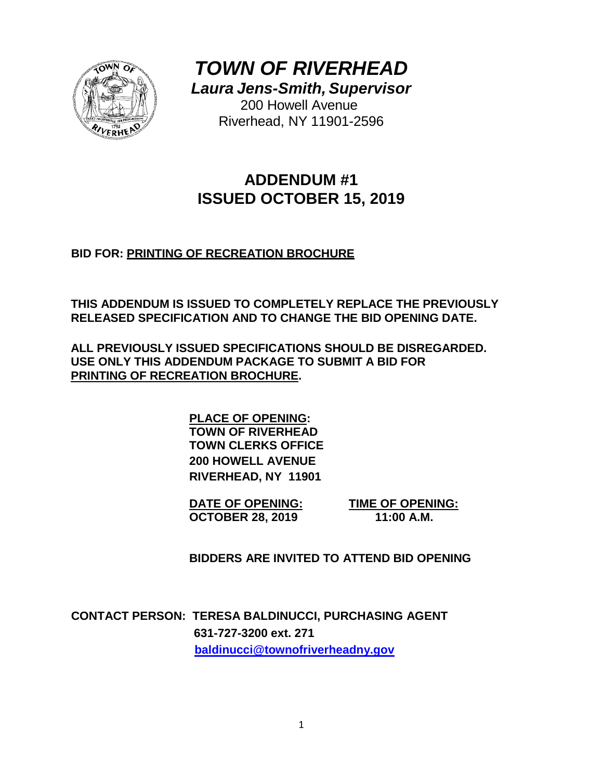

*TOWN OF RIVERHEAD*

*Laura Jens-Smith, Supervisor*

200 Howell Avenue Riverhead, NY 11901-2596

# **ADDENDUM #1 ISSUED OCTOBER 15, 2019**

**BID FOR: PRINTING OF RECREATION BROCHURE**

**THIS ADDENDUM IS ISSUED TO COMPLETELY REPLACE THE PREVIOUSLY RELEASED SPECIFICATION AND TO CHANGE THE BID OPENING DATE.**

**ALL PREVIOUSLY ISSUED SPECIFICATIONS SHOULD BE DISREGARDED. USE ONLY THIS ADDENDUM PACKAGE TO SUBMIT A BID FOR PRINTING OF RECREATION BROCHURE.**

> **PLACE OF OPENING: TOWN OF RIVERHEAD TOWN CLERKS OFFICE 200 HOWELL AVENUE RIVERHEAD, NY 11901**

**DATE OF OPENING: TIME OF OPENING: OCTOBER 28, 2019 11:00 A.M.**

**BIDDERS ARE INVITED TO ATTEND BID OPENING**

**CONTACT PERSON: TERESA BALDINUCCI, PURCHASING AGENT 631-727-3200 ext. 271 [baldinucci@townofriverheadny.gov](mailto:baldinucci@townofriverheadny.gov)**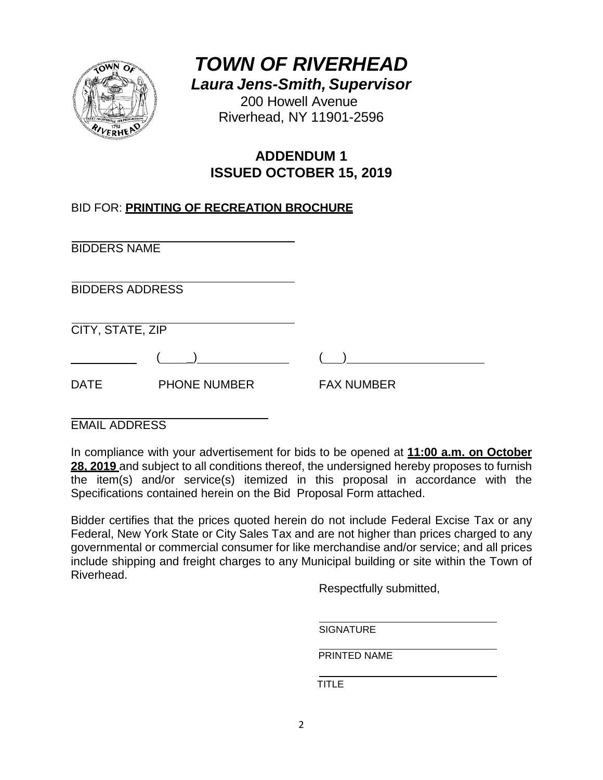

*TOWN OF RIVERHEAD Laura Jens-Smith, Supervisor*

200 Howell Avenue Riverhead, NY 11901-2596

# **ADDENDUM 1 ISSUED OCTOBER 15, 2019**

## BID FOR: **PRINTING OF RECREATION BROCHURE**

BIDDERS NAME

BIDDERS ADDRESS

CITY, STATE, ZIP

DATE PHONE NUMBER FAX NUMBER

EMAIL ADDRESS

In compliance with your advertisement for bids to be opened at **11:00 a.m. on October 28, 2019** and subject to all conditions thereof, the undersigned hereby proposes to furnish the item(s) and/or service(s) itemized in this proposal in accordance with the Specifications contained herein on the Bid Proposal Form attached.

Bidder certifies that the prices quoted herein do not include Federal Excise Tax or any Federal, New York State or City Sales Tax and are not higher than prices charged to any governmental or commercial consumer for like merchandise and/or service; and all prices include shipping and freight charges to any Municipal building or site within the Town of Riverhead.

Respectfully submitted,

SIGNATURE

PRINTED NAME

TITLE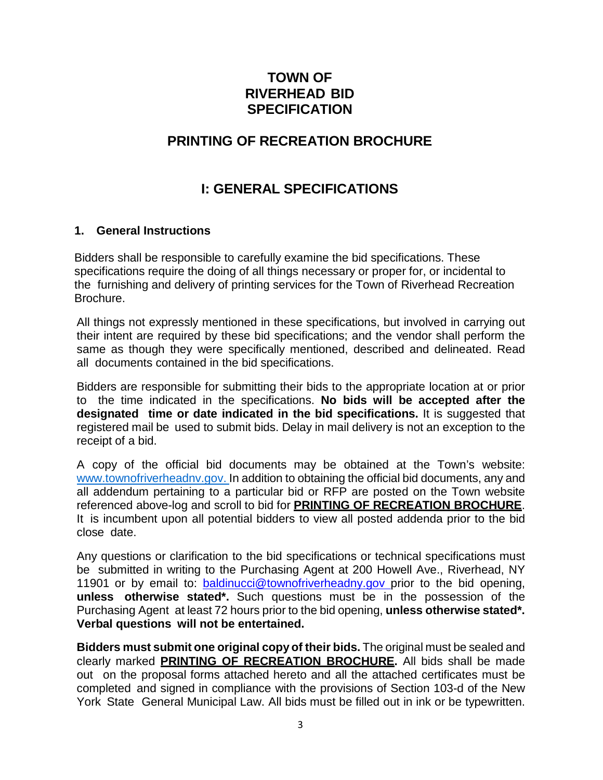## **TOWN OF RIVERHEAD BID SPECIFICATION**

## **PRINTING OF RECREATION BROCHURE**

## **I: GENERAL SPECIFICATIONS**

#### **1. General Instructions**

Bidders shall be responsible to carefully examine the bid specifications. These specifications require the doing of all things necessary or proper for, or incidental to the furnishing and delivery of printing services for the Town of Riverhead Recreation Brochure.

All things not expressly mentioned in these specifications, but involved in carrying out their intent are required by these bid specifications; and the vendor shall perform the same as though they were specifically mentioned, described and delineated. Read all documents contained in the bid specifications.

Bidders are responsible for submitting their bids to the appropriate location at or prior to the time indicated in the specifications. **No bids will be accepted after the designated time or date indicated in the bid specifications.** It is suggested that registered mail be used to submit bids. Delay in mail delivery is not an exception to the receipt of a bid.

A copy of the official bid documents may be obtained at the Town's website: [www.townofriverheadnv.gov.](http://www.townofriverheadnv.gov/) In addition to obtaining the official bid documents, any and all addendum pertaining to a particular bid or RFP are posted on the Town website referenced above-log and scroll to bid for **PRINTING OF RECREATION BROCHURE**. It is incumbent upon all potential bidders to view all posted addenda prior to the bid close date.

Any questions or clarification to the bid specifications or technical specifications must be submitted in writing to the Purchasing Agent at 200 Howell Ave., Riverhead, NY 11901 or by email to: **[baldinucci@townofriverheadny.gov](mailto:baldinucci@townofriverheadny.gov)** prior to the bid opening, **unless otherwise stated\*.** Such questions must be in the possession of the Purchasing Agent at least 72 hours prior to the bid opening, **unless otherwise stated\*. Verbal questions will not be entertained.**

**Bidders must submit one original copy of their bids.** The original must be sealed and clearly marked **PRINTING OF RECREATION BROCHURE.** All bids shall be made out on the proposal forms attached hereto and all the attached certificates must be completed and signed in compliance with the provisions of Section 103-d of the New York State General Municipal Law. All bids must be filled out in ink or be typewritten.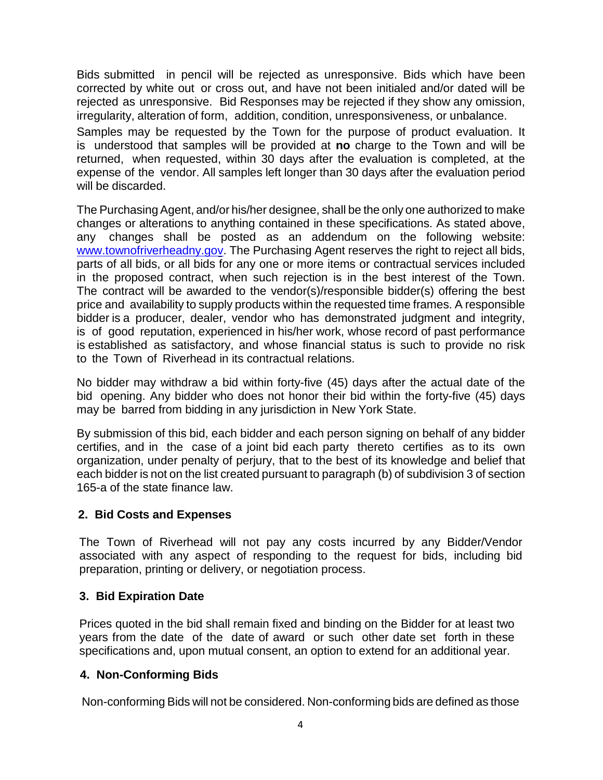Bids submitted in pencil will be rejected as unresponsive. Bids which have been corrected by white out or cross out, and have not been initialed and/or dated will be rejected as unresponsive. Bid Responses may be rejected if they show any omission, irregularity, alteration of form, addition, condition, unresponsiveness, or unbalance.

Samples may be requested by the Town for the purpose of product evaluation. It is understood that samples will be provided at **no** charge to the Town and will be returned, when requested, within 30 days after the evaluation is completed, at the expense of the vendor. All samples left longer than 30 days after the evaluation period will be discarded.

The Purchasing Agent, and/or his/her designee, shall be the only one authorized to make changes or alterations to anything contained in these specifications. As stated above, any changes shall be posted as an addendum on the following website: [www.townofriverheadny.gov.](http://www.townofriverheadny.gov/) The Purchasing Agent reserves the right to reject all bids, parts of all bids, or all bids for any one or more items or contractual services included in the proposed contract, when such rejection is in the best interest of the Town. The contract will be awarded to the vendor(s)/responsible bidder(s) offering the best price and availability to supply products within the requested time frames. A responsible bidder is a producer, dealer, vendor who has demonstrated judgment and integrity, is of good reputation, experienced in his/her work, whose record of past performance is established as satisfactory, and whose financial status is such to provide no risk to the Town of Riverhead in its contractual relations.

No bidder may withdraw a bid within forty-five (45) days after the actual date of the bid opening. Any bidder who does not honor their bid within the forty-five (45) days may be barred from bidding in any jurisdiction in New York State.

By submission of this bid, each bidder and each person signing on behalf of any bidder certifies, and in the case of a joint bid each party thereto certifies as to its own organization, under penalty of perjury, that to the best of its knowledge and belief that each bidder is not on the list created pursuant to paragraph (b) of subdivision 3 of section 165-a of the state finance law.

### **2. Bid Costs and Expenses**

The Town of Riverhead will not pay any costs incurred by any Bidder/Vendor associated with any aspect of responding to the request for bids, including bid preparation, printing or delivery, or negotiation process.

### **3. Bid Expiration Date**

Prices quoted in the bid shall remain fixed and binding on the Bidder for at least two years from the date of the date of award or such other date set forth in these specifications and, upon mutual consent, an option to extend for an additional year.

### **4. Non-Conforming Bids**

Non-conforming Bids will not be considered. Non-conforming bids are defined as those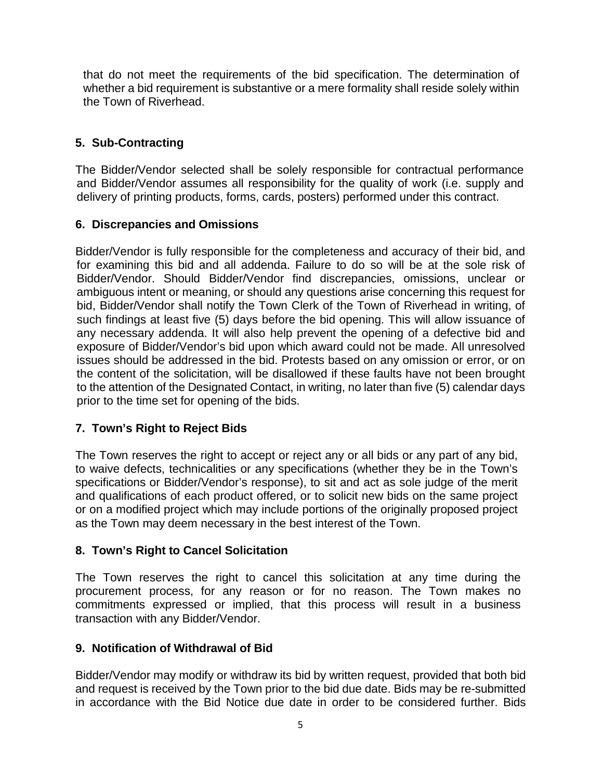that do not meet the requirements of the bid specification. The determination of whether a bid requirement is substantive or a mere formality shall reside solely within the Town of Riverhead.

## **5. Sub-Contracting**

The Bidder/Vendor selected shall be solely responsible for contractual performance and Bidder/Vendor assumes all responsibility for the quality of work (i.e. supply and delivery of printing products, forms, cards, posters) performed under this contract.

## **6. Discrepancies and Omissions**

Bidder/Vendor is fully responsible for the completeness and accuracy of their bid, and for examining this bid and all addenda. Failure to do so will be at the sole risk of Bidder/Vendor. Should Bidder/Vendor find discrepancies, omissions, unclear or ambiguous intent or meaning, or should any questions arise concerning this request for bid, Bidder/Vendor shall notify the Town Clerk of the Town of Riverhead in writing, of such findings at least five (5) days before the bid opening. This will allow issuance of any necessary addenda. It will also help prevent the opening of a defective bid and exposure of Bidder/Vendor's bid upon which award could not be made. All unresolved issues should be addressed in the bid. Protests based on any omission or error, or on the content of the solicitation, will be disallowed if these faults have not been brought to the attention of the Designated Contact, in writing, no later than five (5) calendar days prior to the time set for opening of the bids.

### **7. Town's Right to Reject Bids**

The Town reserves the right to accept or reject any or all bids or any part of any bid, to waive defects, technicalities or any specifications (whether they be in the Town's specifications or Bidder/Vendor's response), to sit and act as sole judge of the merit and qualifications of each product offered, or to solicit new bids on the same project or on a modified project which may include portions of the originally proposed project as the Town may deem necessary in the best interest of the Town.

### **8. Town's Right to Cancel Solicitation**

The Town reserves the right to cancel this solicitation at any time during the procurement process, for any reason or for no reason. The Town makes no commitments expressed or implied, that this process will result in a business transaction with any Bidder/Vendor.

### **9. Notification of Withdrawal of Bid**

Bidder/Vendor may modify or withdraw its bid by written request, provided that both bid and request is received by the Town prior to the bid due date. Bids may be re-submitted in accordance with the Bid Notice due date in order to be considered further. Bids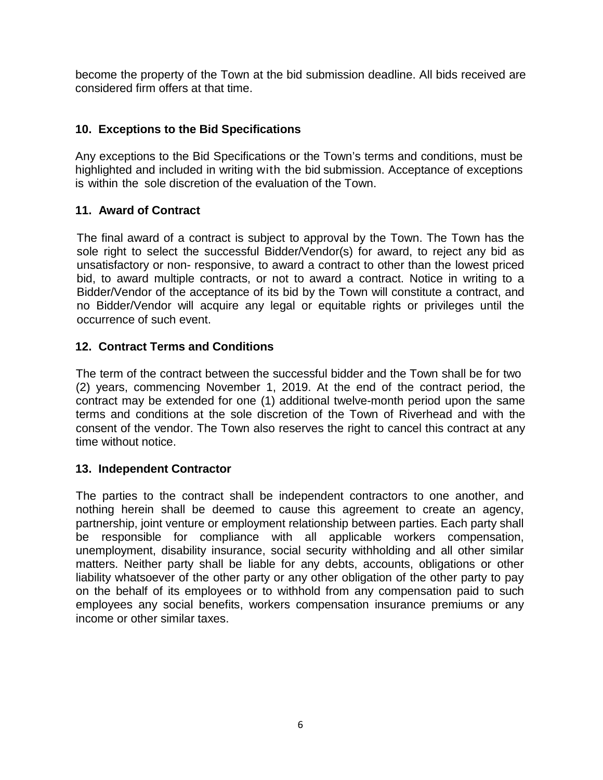become the property of the Town at the bid submission deadline. All bids received are considered firm offers at that time.

## **10. Exceptions to the Bid Specifications**

Any exceptions to the Bid Specifications or the Town's terms and conditions, must be highlighted and included in writing with the bid submission. Acceptance of exceptions is within the sole discretion of the evaluation of the Town.

## **11. Award of Contract**

The final award of a contract is subject to approval by the Town. The Town has the sole right to select the successful Bidder/Vendor(s) for award, to reject any bid as unsatisfactory or non- responsive, to award a contract to other than the lowest priced bid, to award multiple contracts, or not to award a contract. Notice in writing to a Bidder/Vendor of the acceptance of its bid by the Town will constitute a contract, and no Bidder/Vendor will acquire any legal or equitable rights or privileges until the occurrence of such event.

## **12. Contract Terms and Conditions**

The term of the contract between the successful bidder and the Town shall be for two (2) years, commencing November 1, 2019. At the end of the contract period, the contract may be extended for one (1) additional twelve-month period upon the same terms and conditions at the sole discretion of the Town of Riverhead and with the consent of the vendor. The Town also reserves the right to cancel this contract at any time without notice.

### **13. Independent Contractor**

The parties to the contract shall be independent contractors to one another, and nothing herein shall be deemed to cause this agreement to create an agency, partnership, joint venture or employment relationship between parties. Each party shall be responsible for compliance with all applicable workers compensation, unemployment, disability insurance, social security withholding and all other similar matters. Neither party shall be liable for any debts, accounts, obligations or other liability whatsoever of the other party or any other obligation of the other party to pay on the behalf of its employees or to withhold from any compensation paid to such employees any social benefits, workers compensation insurance premiums or any income or other similar taxes.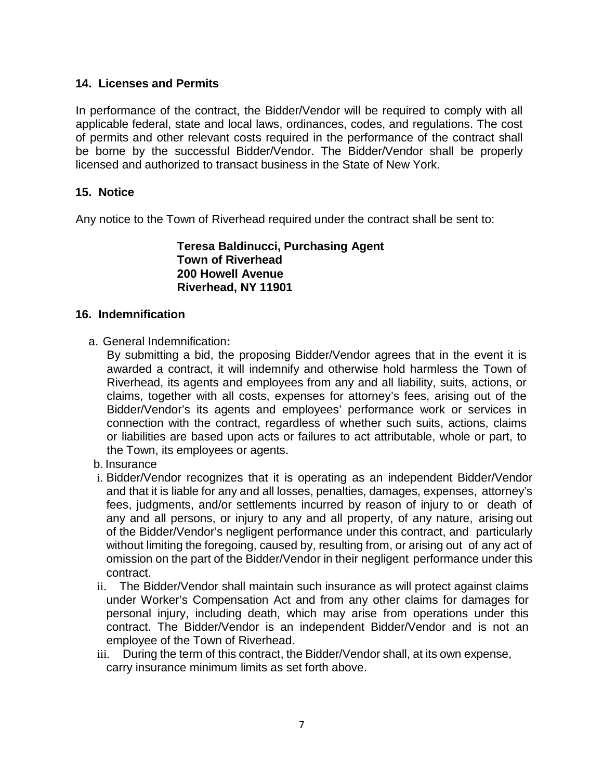## **14. Licenses and Permits**

In performance of the contract, the Bidder/Vendor will be required to comply with all applicable federal, state and local laws, ordinances, codes, and regulations. The cost of permits and other relevant costs required in the performance of the contract shall be borne by the successful Bidder/Vendor. The Bidder/Vendor shall be properly licensed and authorized to transact business in the State of New York.

## **15. Notice**

Any notice to the Town of Riverhead required under the contract shall be sent to:

**Teresa Baldinucci, Purchasing Agent Town of Riverhead 200 Howell Avenue Riverhead, NY 11901**

#### **16. Indemnification**

a. General Indemnification**:**

By submitting a bid, the proposing Bidder/Vendor agrees that in the event it is awarded a contract, it will indemnify and otherwise hold harmless the Town of Riverhead, its agents and employees from any and all liability, suits, actions, or claims, together with all costs, expenses for attorney's fees, arising out of the Bidder/Vendor's its agents and employees' performance work or services in connection with the contract, regardless of whether such suits, actions, claims or liabilities are based upon acts or failures to act attributable, whole or part, to the Town, its employees or agents.

- b. Insurance
- i. Bidder/Vendor recognizes that it is operating as an independent Bidder/Vendor and that it is liable for any and all losses, penalties, damages, expenses, attorney's fees, judgments, and/or settlements incurred by reason of injury to or death of any and all persons, or injury to any and all property, of any nature, arising out of the Bidder/Vendor's negligent performance under this contract, and particularly without limiting the foregoing, caused by, resulting from, or arising out of any act of omission on the part of the Bidder/Vendor in their negligent performance under this contract.
- ii. The Bidder/Vendor shall maintain such insurance as will protect against claims under Worker's Compensation Act and from any other claims for damages for personal injury, including death, which may arise from operations under this contract. The Bidder/Vendor is an independent Bidder/Vendor and is not an employee of the Town of Riverhead.
- iii. During the term of this contract, the Bidder/Vendor shall, at its own expense, carry insurance minimum limits as set forth above.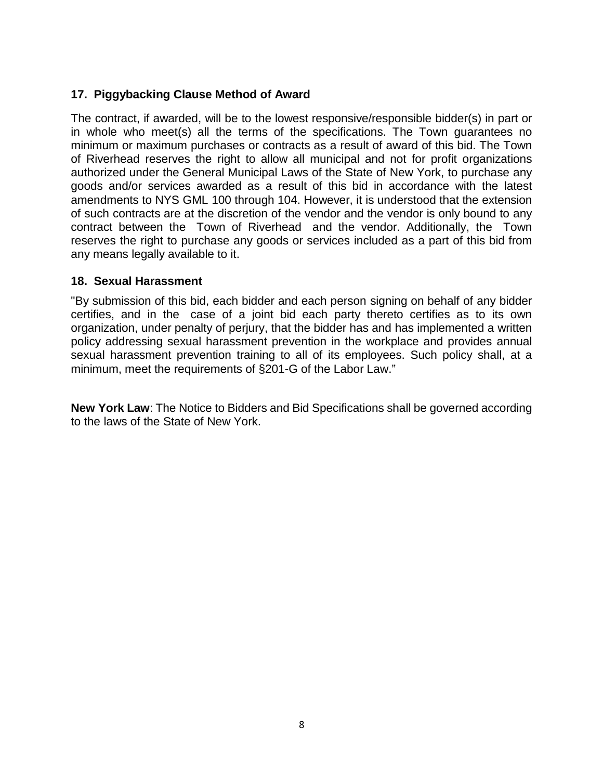## **17. Piggybacking Clause Method of Award**

The contract, if awarded, will be to the lowest responsive/responsible bidder(s) in part or in whole who meet(s) all the terms of the specifications. The Town guarantees no minimum or maximum purchases or contracts as a result of award of this bid. The Town of Riverhead reserves the right to allow all municipal and not for profit organizations authorized under the General Municipal Laws of the State of New York, to purchase any goods and/or services awarded as a result of this bid in accordance with the latest amendments to NYS GML 100 through 104. However, it is understood that the extension of such contracts are at the discretion of the vendor and the vendor is only bound to any contract between the Town of Riverhead and the vendor. Additionally, the Town reserves the right to purchase any goods or services included as a part of this bid from any means legally available to it.

### **18. Sexual Harassment**

"By submission of this bid, each bidder and each person signing on behalf of any bidder certifies, and in the case of a joint bid each party thereto certifies as to its own organization, under penalty of perjury, that the bidder has and has implemented a written policy addressing sexual harassment prevention in the workplace and provides annual sexual harassment prevention training to all of its employees. Such policy shall, at a minimum, meet the requirements of §201-G of the Labor Law."

**New York Law**: The Notice to Bidders and Bid Specifications shall be governed according to the laws of the State of New York.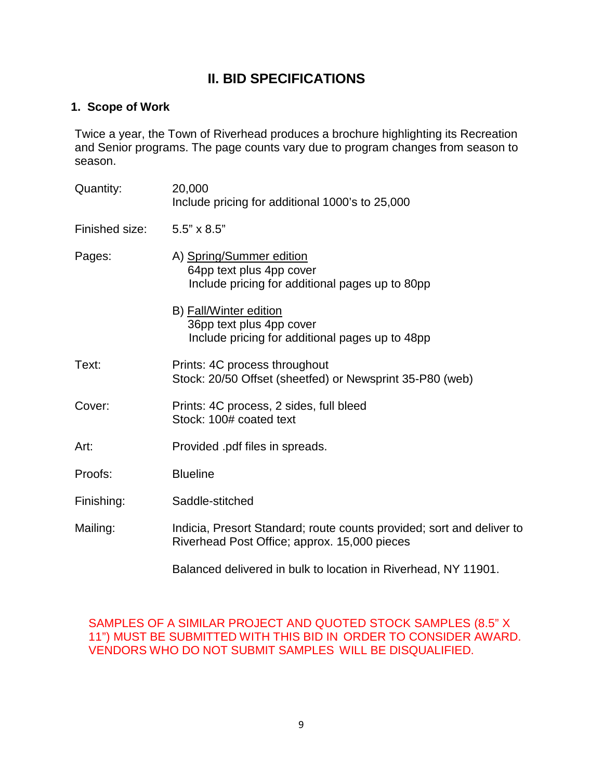## **II. BID SPECIFICATIONS**

## **1. Scope of Work**

Twice a year, the Town of Riverhead produces a brochure highlighting its Recreation and Senior programs. The page counts vary due to program changes from season to season.

| Quantity:      | 20,000<br>Include pricing for additional 1000's to 25,000                                                             |
|----------------|-----------------------------------------------------------------------------------------------------------------------|
| Finished size: | $5.5" \times 8.5"$                                                                                                    |
| Pages:         | A) Spring/Summer edition<br>64pp text plus 4pp cover<br>Include pricing for additional pages up to 80pp               |
|                | B) Fall/Winter edition<br>36pp text plus 4pp cover<br>Include pricing for additional pages up to 48pp                 |
| Text:          | Prints: 4C process throughout<br>Stock: 20/50 Offset (sheetfed) or Newsprint 35-P80 (web)                             |
| Cover:         | Prints: 4C process, 2 sides, full bleed<br>Stock: 100# coated text                                                    |
| Art:           | Provided .pdf files in spreads.                                                                                       |
| Proofs:        | <b>Blueline</b>                                                                                                       |
| Finishing:     | Saddle-stitched                                                                                                       |
| Mailing:       | Indicia, Presort Standard; route counts provided; sort and deliver to<br>Riverhead Post Office; approx. 15,000 pieces |
|                | Balanced delivered in bulk to location in Riverhead, NY 11901.                                                        |

SAMPLES OF A SIMILAR PROJECT AND QUOTED STOCK SAMPLES (8.5" X 11") MUST BE SUBMITTED WITH THIS BID IN ORDER TO CONSIDER AWARD. VENDORS WHO DO NOT SUBMIT SAMPLES WILL BE DISQUALIFIED.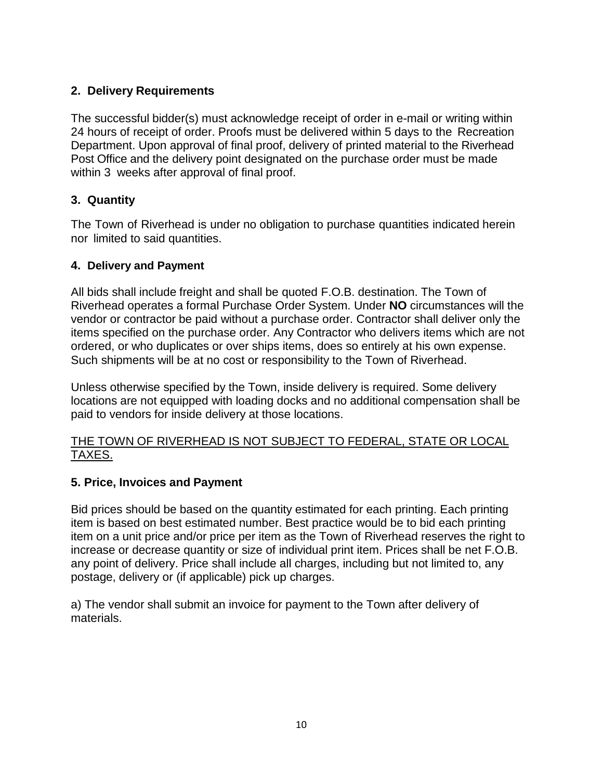## **2. Delivery Requirements**

The successful bidder(s) must acknowledge receipt of order in e-mail or writing within 24 hours of receipt of order. Proofs must be delivered within 5 days to the Recreation Department. Upon approval of final proof, delivery of printed material to the Riverhead Post Office and the delivery point designated on the purchase order must be made within 3 weeks after approval of final proof.

## **3. Quantity**

The Town of Riverhead is under no obligation to purchase quantities indicated herein nor limited to said quantities.

### **4. Delivery and Payment**

All bids shall include freight and shall be quoted F.O.B. destination. The Town of Riverhead operates a formal Purchase Order System. Under **NO** circumstances will the vendor or contractor be paid without a purchase order. Contractor shall deliver only the items specified on the purchase order. Any Contractor who delivers items which are not ordered, or who duplicates or over ships items, does so entirely at his own expense. Such shipments will be at no cost or responsibility to the Town of Riverhead.

Unless otherwise specified by the Town, inside delivery is required. Some delivery locations are not equipped with loading docks and no additional compensation shall be paid to vendors for inside delivery at those locations.

## THE TOWN OF RIVERHEAD IS NOT SUBJECT TO FEDERAL, STATE OR LOCAL TAXES.

## **5. Price, Invoices and Payment**

Bid prices should be based on the quantity estimated for each printing. Each printing item is based on best estimated number. Best practice would be to bid each printing item on a unit price and/or price per item as the Town of Riverhead reserves the right to increase or decrease quantity or size of individual print item. Prices shall be net F.O.B. any point of delivery. Price shall include all charges, including but not limited to, any postage, delivery or (if applicable) pick up charges.

a) The vendor shall submit an invoice for payment to the Town after delivery of materials.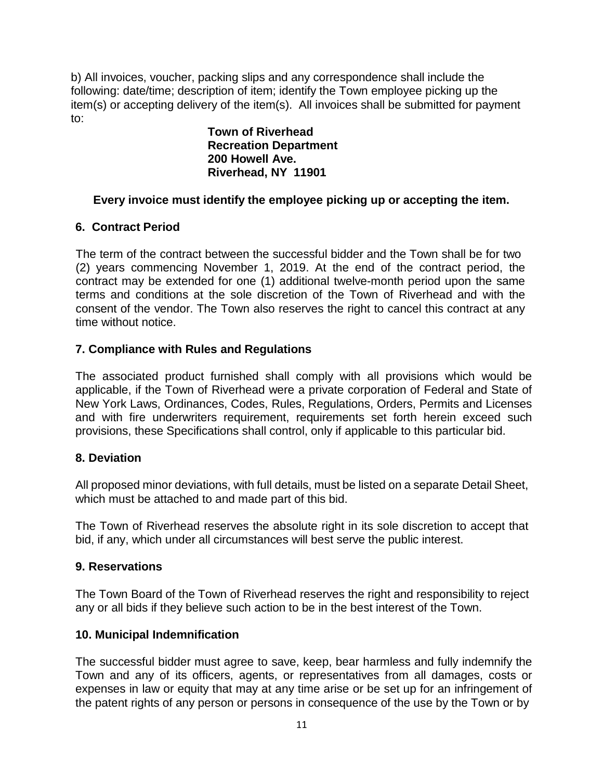b) All invoices, voucher, packing slips and any correspondence shall include the following: date/time; description of item; identify the Town employee picking up the item(s) or accepting delivery of the item(s). All invoices shall be submitted for payment to:

**Town of Riverhead Recreation Department 200 Howell Ave. Riverhead, NY 11901**

## **Every invoice must identify the employee picking up or accepting the item.**

## **6. Contract Period**

The term of the contract between the successful bidder and the Town shall be for two (2) years commencing November 1, 2019. At the end of the contract period, the contract may be extended for one (1) additional twelve-month period upon the same terms and conditions at the sole discretion of the Town of Riverhead and with the consent of the vendor. The Town also reserves the right to cancel this contract at any time without notice.

## **7. Compliance with Rules and Regulations**

The associated product furnished shall comply with all provisions which would be applicable, if the Town of Riverhead were a private corporation of Federal and State of New York Laws, Ordinances, Codes, Rules, Regulations, Orders, Permits and Licenses and with fire underwriters requirement, requirements set forth herein exceed such provisions, these Specifications shall control, only if applicable to this particular bid.

### **8. Deviation**

All proposed minor deviations, with full details, must be listed on a separate Detail Sheet, which must be attached to and made part of this bid.

The Town of Riverhead reserves the absolute right in its sole discretion to accept that bid, if any, which under all circumstances will best serve the public interest.

### **9. Reservations**

The Town Board of the Town of Riverhead reserves the right and responsibility to reject any or all bids if they believe such action to be in the best interest of the Town.

### **10. Municipal Indemnification**

The successful bidder must agree to save, keep, bear harmless and fully indemnify the Town and any of its officers, agents, or representatives from all damages, costs or expenses in law or equity that may at any time arise or be set up for an infringement of the patent rights of any person or persons in consequence of the use by the Town or by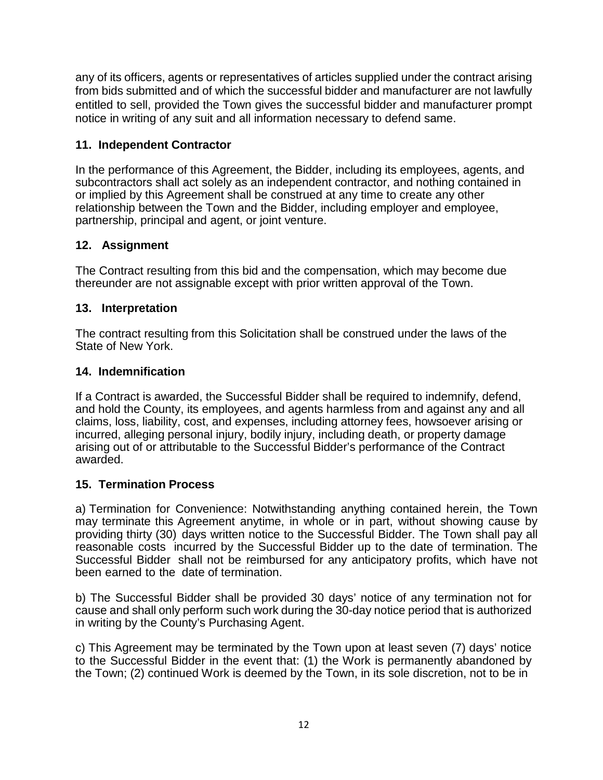any of its officers, agents or representatives of articles supplied under the contract arising from bids submitted and of which the successful bidder and manufacturer are not lawfully entitled to sell, provided the Town gives the successful bidder and manufacturer prompt notice in writing of any suit and all information necessary to defend same.

## **11. Independent Contractor**

In the performance of this Agreement, the Bidder, including its employees, agents, and subcontractors shall act solely as an independent contractor, and nothing contained in or implied by this Agreement shall be construed at any time to create any other relationship between the Town and the Bidder, including employer and employee, partnership, principal and agent, or joint venture.

## **12. Assignment**

The Contract resulting from this bid and the compensation, which may become due thereunder are not assignable except with prior written approval of the Town.

## **13. Interpretation**

The contract resulting from this Solicitation shall be construed under the laws of the State of New York.

### **14. Indemnification**

If a Contract is awarded, the Successful Bidder shall be required to indemnify, defend, and hold the County, its employees, and agents harmless from and against any and all claims, loss, liability, cost, and expenses, including attorney fees, howsoever arising or incurred, alleging personal injury, bodily injury, including death, or property damage arising out of or attributable to the Successful Bidder's performance of the Contract awarded.

## **15. Termination Process**

a) Termination for Convenience: Notwithstanding anything contained herein, the Town may terminate this Agreement anytime, in whole or in part, without showing cause by providing thirty (30) days written notice to the Successful Bidder. The Town shall pay all reasonable costs incurred by the Successful Bidder up to the date of termination. The Successful Bidder shall not be reimbursed for any anticipatory profits, which have not been earned to the date of termination.

b) The Successful Bidder shall be provided 30 days' notice of any termination not for cause and shall only perform such work during the 30-day notice period that is authorized in writing by the County's Purchasing Agent.

c) This Agreement may be terminated by the Town upon at least seven (7) days' notice to the Successful Bidder in the event that: (1) the Work is permanently abandoned by the Town; (2) continued Work is deemed by the Town, in its sole discretion, not to be in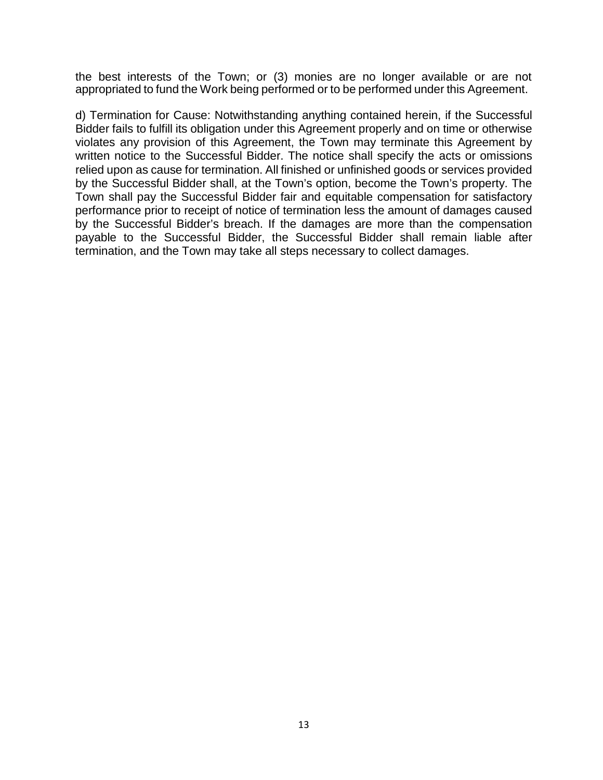the best interests of the Town; or (3) monies are no longer available or are not appropriated to fund the Work being performed or to be performed under this Agreement.

d) Termination for Cause: Notwithstanding anything contained herein, if the Successful Bidder fails to fulfill its obligation under this Agreement properly and on time or otherwise violates any provision of this Agreement, the Town may terminate this Agreement by written notice to the Successful Bidder. The notice shall specify the acts or omissions relied upon as cause for termination. All finished or unfinished goods or services provided by the Successful Bidder shall, at the Town's option, become the Town's property. The Town shall pay the Successful Bidder fair and equitable compensation for satisfactory performance prior to receipt of notice of termination less the amount of damages caused by the Successful Bidder's breach. If the damages are more than the compensation payable to the Successful Bidder, the Successful Bidder shall remain liable after termination, and the Town may take all steps necessary to collect damages.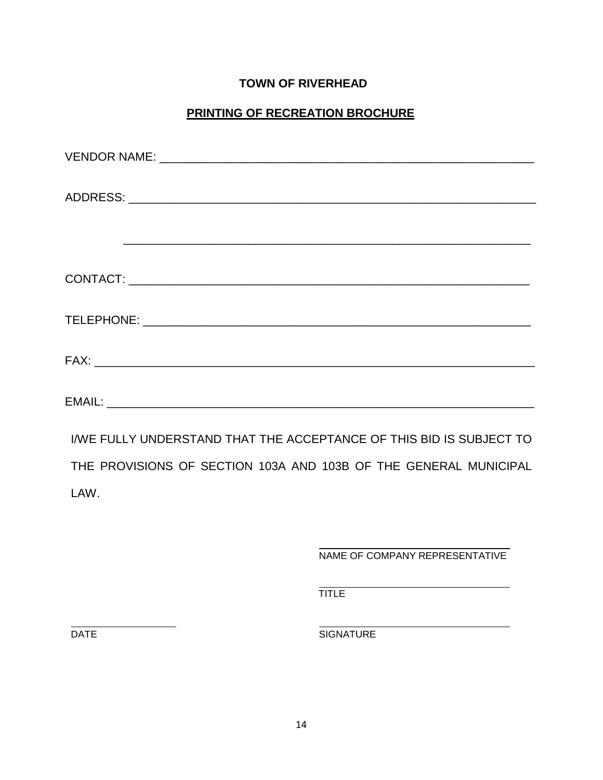## **TOWN OF RIVERHEAD**

## **PRINTING OF RECREATION BROCHURE**

| I/WE FULLY UNDERSTAND THAT THE ACCEPTANCE OF THIS BID IS SUBJECT TO |
|---------------------------------------------------------------------|
| THE PROVISIONS OF SECTION 103A AND 103B OF THE GENERAL MUNICIPAL    |
| LAW.                                                                |

NAME OF COMPANY REPRESENTATIVE

**TITLE** 

DATE SIGNATURE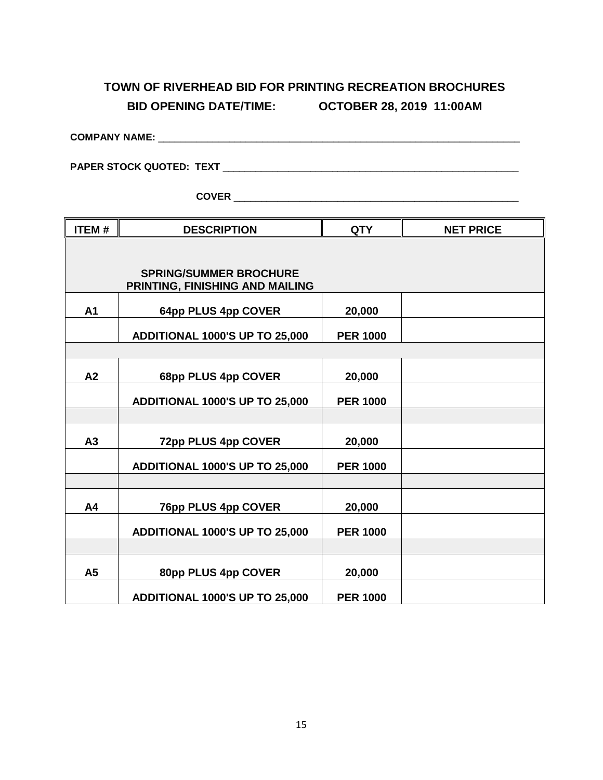# **TOWN OF RIVERHEAD BID FOR PRINTING RECREATION BROCHURES BID OPENING DATE/TIME: OCTOBER 28, 2019 11:00AM**

| <b>COMPANY NAME:</b>            |  |
|---------------------------------|--|
| <b>PAPER STOCK QUOTED: TEXT</b> |  |

**COVER** \_\_\_\_\_\_\_\_\_\_\_\_\_\_\_\_\_\_\_\_\_\_\_\_\_\_\_\_\_\_\_\_\_\_\_\_\_\_\_\_\_\_\_\_\_\_\_\_\_\_\_\_

| <b>ITEM#</b>   | <b>DESCRIPTION</b>                                               | <b>QTY</b>      | <b>NET PRICE</b> |
|----------------|------------------------------------------------------------------|-----------------|------------------|
|                |                                                                  |                 |                  |
|                | <b>SPRING/SUMMER BROCHURE</b><br>PRINTING, FINISHING AND MAILING |                 |                  |
| A <sub>1</sub> | 64pp PLUS 4pp COVER                                              | 20,000          |                  |
|                | ADDITIONAL 1000'S UP TO 25,000                                   | <b>PER 1000</b> |                  |
|                |                                                                  |                 |                  |
| A2             | 68pp PLUS 4pp COVER                                              | 20,000          |                  |
|                | ADDITIONAL 1000'S UP TO 25,000                                   | <b>PER 1000</b> |                  |
|                |                                                                  |                 |                  |
| A3             | 72pp PLUS 4pp COVER                                              | 20,000          |                  |
|                | ADDITIONAL 1000'S UP TO 25,000                                   | <b>PER 1000</b> |                  |
|                |                                                                  |                 |                  |
| A4             | 76pp PLUS 4pp COVER                                              | 20,000          |                  |
|                | ADDITIONAL 1000'S UP TO 25,000                                   | <b>PER 1000</b> |                  |
|                |                                                                  |                 |                  |
| A5             | 80pp PLUS 4pp COVER                                              | 20,000          |                  |
|                | ADDITIONAL 1000'S UP TO 25,000                                   | <b>PER 1000</b> |                  |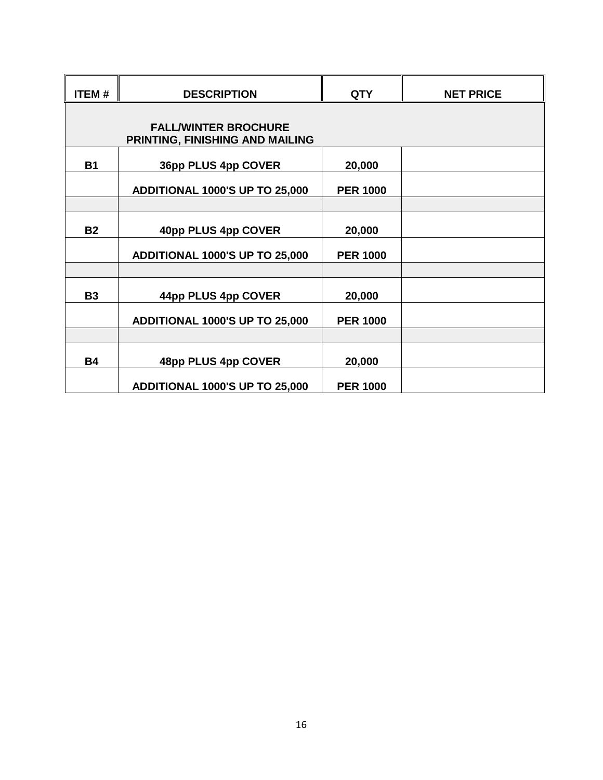| <b>ITEM#</b> | <b>DESCRIPTION</b>                                             | <b>QTY</b>      | <b>NET PRICE</b> |
|--------------|----------------------------------------------------------------|-----------------|------------------|
|              |                                                                |                 |                  |
|              | <b>FALL/WINTER BROCHURE</b><br>PRINTING, FINISHING AND MAILING |                 |                  |
| <b>B1</b>    | 36pp PLUS 4pp COVER                                            | 20,000          |                  |
|              | ADDITIONAL 1000'S UP TO 25,000                                 | <b>PER 1000</b> |                  |
|              |                                                                |                 |                  |
| <b>B2</b>    | 40pp PLUS 4pp COVER                                            | 20,000          |                  |
|              | ADDITIONAL 1000'S UP TO 25,000                                 | <b>PER 1000</b> |                  |
|              |                                                                |                 |                  |
| <b>B3</b>    | 44pp PLUS 4pp COVER                                            | 20,000          |                  |
|              | ADDITIONAL 1000'S UP TO 25,000                                 | <b>PER 1000</b> |                  |
|              |                                                                |                 |                  |
| <b>B4</b>    | 48pp PLUS 4pp COVER                                            | 20,000          |                  |
|              | ADDITIONAL 1000'S UP TO 25,000                                 | <b>PER 1000</b> |                  |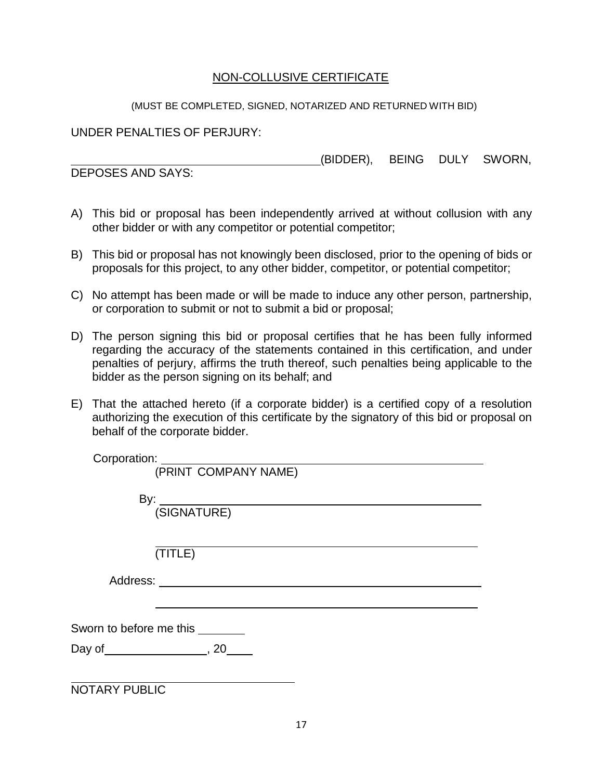## NON-COLLUSIVE CERTIFICATE

#### (MUST BE COMPLETED, SIGNED, NOTARIZED AND RETURNED WITH BID)

UNDER PENALTIES OF PERJURY:

(BIDDER), BEING DULY SWORN,

DEPOSES AND SAYS:

- A) This bid or proposal has been independently arrived at without collusion with any other bidder or with any competitor or potential competitor;
- B) This bid or proposal has not knowingly been disclosed, prior to the opening of bids or proposals for this project, to any other bidder, competitor, or potential competitor;
- C) No attempt has been made or will be made to induce any other person, partnership, or corporation to submit or not to submit a bid or proposal;
- D) The person signing this bid or proposal certifies that he has been fully informed regarding the accuracy of the statements contained in this certification, and under penalties of perjury, affirms the truth thereof, such penalties being applicable to the bidder as the person signing on its behalf; and
- E) That the attached hereto (if a corporate bidder) is a certified copy of a resolution authorizing the execution of this certificate by the signatory of this bid or proposal on behalf of the corporate bidder.

| Corporation:                         |
|--------------------------------------|
| (PRINT COMPANY NAME)                 |
|                                      |
|                                      |
|                                      |
| (TITLE)                              |
|                                      |
|                                      |
| Sworn to before me this _______      |
| Day of ____________________, 20_____ |
|                                      |
| <b>NOTARY PUBLIC</b>                 |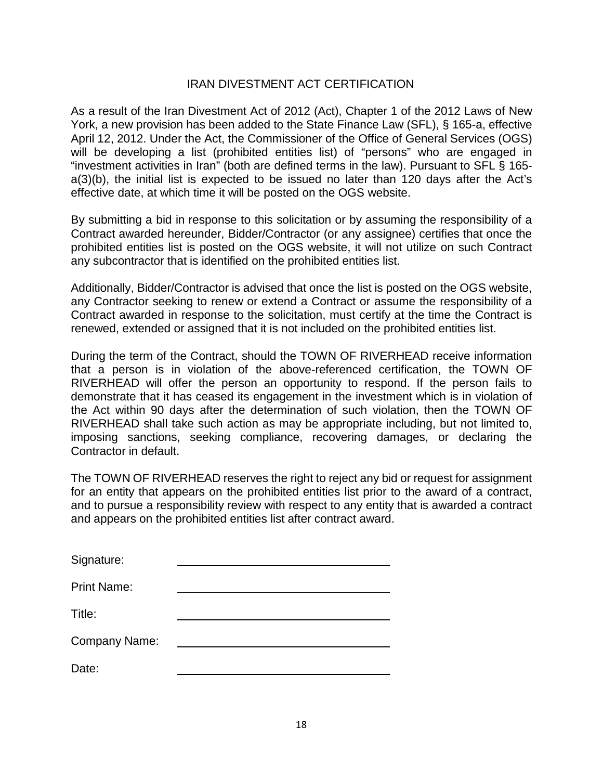## IRAN DIVESTMENT ACT CERTIFICATION

As a result of the Iran Divestment Act of 2012 (Act), Chapter 1 of the 2012 Laws of New York, a new provision has been added to the State Finance Law (SFL), § 165-a, effective April 12, 2012. Under the Act, the Commissioner of the Office of General Services (OGS) will be developing a list (prohibited entities list) of "persons" who are engaged in "investment activities in Iran" (both are defined terms in the law). Pursuant to SFL § 165 a(3)(b), the initial list is expected to be issued no later than 120 days after the Act's effective date, at which time it will be posted on the OGS website.

By submitting a bid in response to this solicitation or by assuming the responsibility of a Contract awarded hereunder, Bidder/Contractor (or any assignee) certifies that once the prohibited entities list is posted on the OGS website, it will not utilize on such Contract any subcontractor that is identified on the prohibited entities list.

Additionally, Bidder/Contractor is advised that once the list is posted on the OGS website, any Contractor seeking to renew or extend a Contract or assume the responsibility of a Contract awarded in response to the solicitation, must certify at the time the Contract is renewed, extended or assigned that it is not included on the prohibited entities list.

During the term of the Contract, should the TOWN OF RIVERHEAD receive information that a person is in violation of the above-referenced certification, the TOWN OF RIVERHEAD will offer the person an opportunity to respond. If the person fails to demonstrate that it has ceased its engagement in the investment which is in violation of the Act within 90 days after the determination of such violation, then the TOWN OF RIVERHEAD shall take such action as may be appropriate including, but not limited to, imposing sanctions, seeking compliance, recovering damages, or declaring the Contractor in default.

The TOWN OF RIVERHEAD reserves the right to reject any bid or request for assignment for an entity that appears on the prohibited entities list prior to the award of a contract, and to pursue a responsibility review with respect to any entity that is awarded a contract and appears on the prohibited entities list after contract award.

| Signature:           |  |
|----------------------|--|
| <b>Print Name:</b>   |  |
| Title:               |  |
| <b>Company Name:</b> |  |
| Date:                |  |